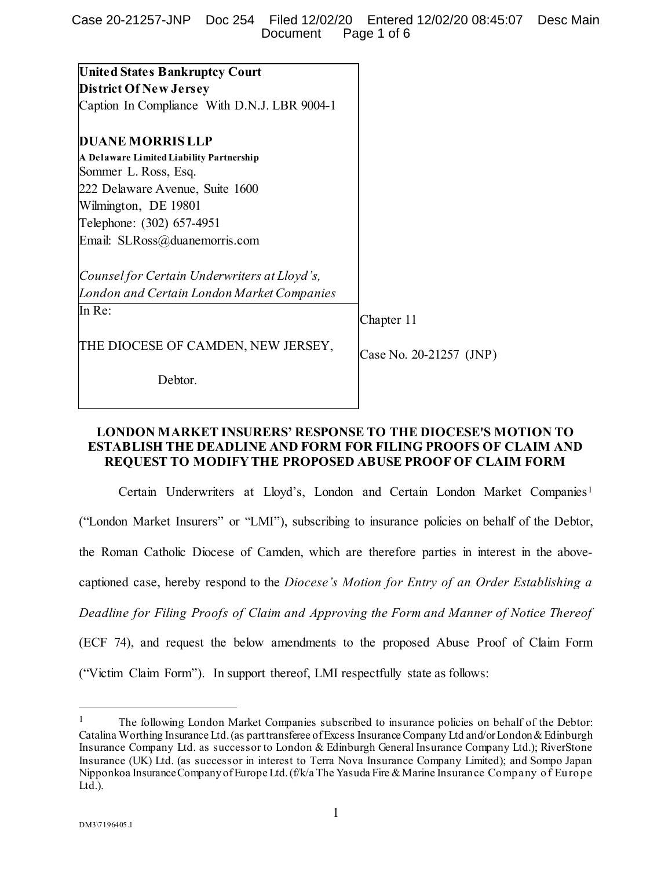| <b>United States Bankruptcy Court</b>        |                         |
|----------------------------------------------|-------------------------|
| <b>District Of New Jersey</b>                |                         |
| Caption In Compliance With D.N.J. LBR 9004-1 |                         |
| <b>DUANE MORRIS LLP</b>                      |                         |
| A Delaware Limited Liability Partnership     |                         |
| Sommer L. Ross, Esq.                         |                         |
| 222 Delaware Avenue, Suite 1600              |                         |
| Wilmington, DE 19801                         |                         |
| Telephone: (302) 657-4951                    |                         |
| Email: SLRoss@duanemorris.com                |                         |
| Counsel for Certain Underwriters at Lloyd's, |                         |
| London and Certain London Market Companies   |                         |
| In Re:                                       | Chapter 11              |
| THE DIOCESE OF CAMDEN, NEW JERSEY,           | Case No. 20-21257 (JNP) |
| Dehtor.                                      |                         |

# **LONDON MARKET INSURERS' RESPONSE TO THE DIOCESE'S MOTION TO ESTABLISH THE DEADLINE AND FORM FOR FILING PROOFS OF CLAIM AND REQUEST TO MODIFY THE PROPOSED ABUSE PROOF OF CLAIM FORM**

Certain Underwriters at Lloyd's, London and Certain London Market Companies<sup>[1](#page-0-0)</sup> ("London Market Insurers" or "LMI"), subscribing to insurance policies on behalf of the Debtor, the Roman Catholic Diocese of Camden, which are therefore parties in interest in the abovecaptioned case, hereby respond to the *Diocese's Motion for Entry of an Order Establishing a Deadline for Filing Proofs of Claim and Approving the Form and Manner of Notice Thereof* (ECF 74), and request the below amendments to the proposed Abuse Proof of Claim Form ("Victim Claim Form"). In support thereof, LMI respectfully state as follows:

<span id="page-0-0"></span><sup>&</sup>lt;sup>1</sup> The following London Market Companies subscribed to insurance policies on behalf of the Debtor: Catalina Worthing Insurance Ltd. (as part transferee of Excess Insurance Company Ltd and/or London &Edinburgh Insurance Company Ltd. as successor to London & Edinburgh General Insurance Company Ltd.); RiverStone Insurance (UK) Ltd. (as successor in interest to Terra Nova Insurance Company Limited); and Sompo Japan Nipponkoa Insurance Company of Europe Ltd. (f/k/a The Yasuda Fire & Marine Insurance Company of Europe  $Ltd.$ ).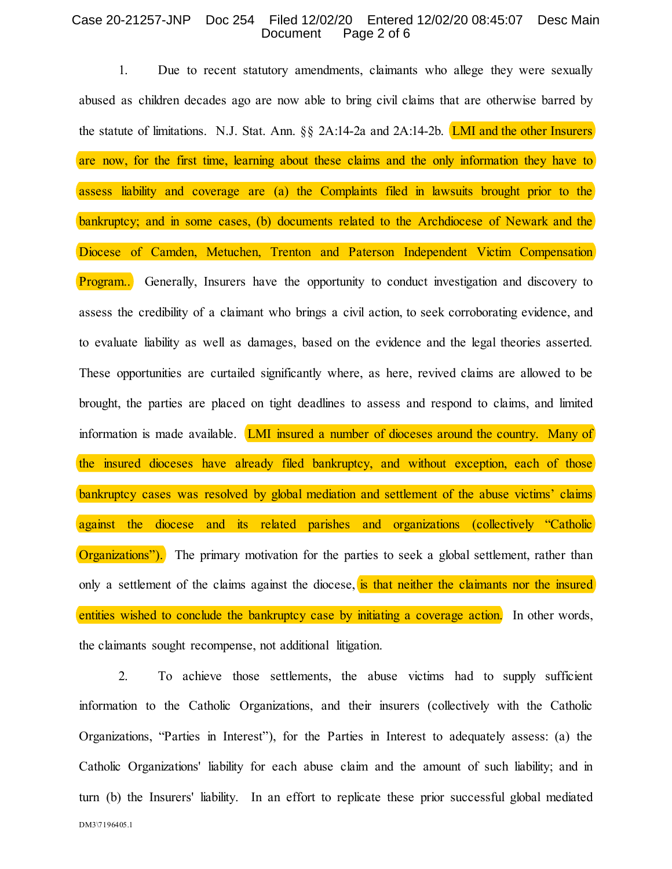#### Case 20-21257-JNP Doc 254 Filed 12/02/20 Entered 12/02/20 08:45:07 Desc Main Document Page 2 of 6

1. Due to recent statutory amendments, claimants who allege they were sexually abused as children decades ago are now able to bring civil claims that are otherwise barred by the statute of limitations. N.J. Stat. Ann.  $\S$  2A:14-2a and 2A:14-2b. LMI and the other Insurers are now, for the first time, learning about these claims and the only information they have to assess liability and coverage are (a) the Complaints filed in lawsuits brought prior to the bankruptcy; and in some cases, (b) documents related to the Archdiocese of Newark and the Diocese of Camden, Metuchen, Trenton and Paterson Independent Victim Compensation **Program..** Generally, Insurers have the opportunity to conduct investigation and discovery to assess the credibility of a claimant who brings a civil action, to seek corroborating evidence, and to evaluate liability as well as damages, based on the evidence and the legal theories asserted. These opportunities are curtailed significantly where, as here, revived claims are allowed to be brought, the parties are placed on tight deadlines to assess and respond to claims, and limited information is made available. **LMI insured a number of dioceses around the country.** Many of the insured dioceses have already filed bankruptcy, and without exception, each of those bankruptcy cases was resolved by global mediation and settlement of the abuse victims' claims against the diocese and its related parishes and organizations (collectively "Catholic Organizations"). The primary motivation for the parties to seek a global settlement, rather than only a settlement of the claims against the diocese, is that neither the claimants nor the insured entities wished to conclude the bankruptcy case by initiating a coverage action. In other words, the claimants sought recompense, not additional litigation.

DM3\7196405.1 2. To achieve those settlements, the abuse victims had to supply sufficient information to the Catholic Organizations, and their insurers (collectively with the Catholic Organizations, "Parties in Interest"), for the Parties in Interest to adequately assess: (a) the Catholic Organizations' liability for each abuse claim and the amount of such liability; and in turn (b) the Insurers' liability. In an effort to replicate these prior successful global mediated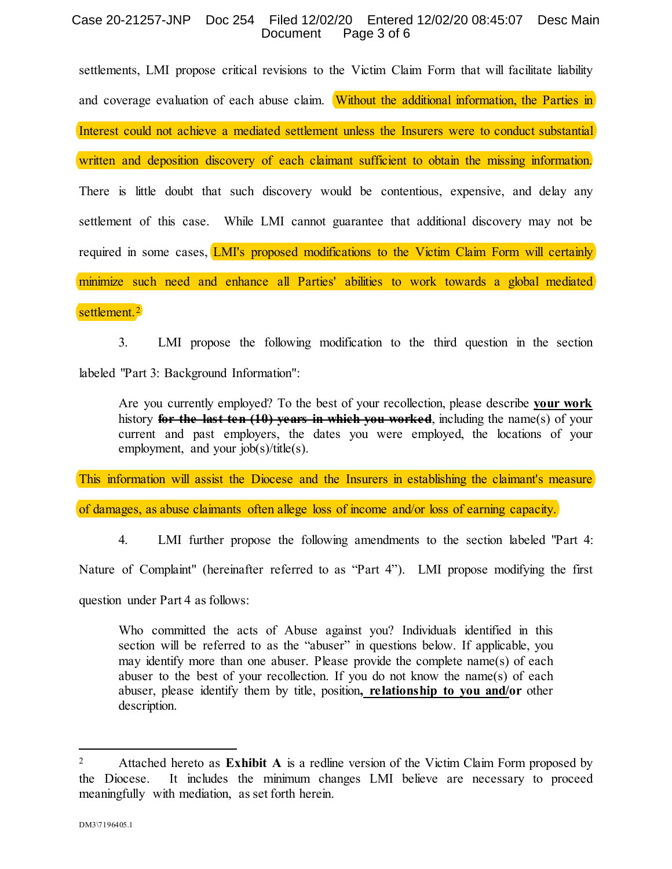#### Case 20-21257-JNP Doc 254 Filed 12/02/20 Entered 12/02/20 08:45:07 Desc Main Document Page 3 of 6

settlements, LMI propose critical revisions to the Victim Claim Form that will facilitate liability and coverage evaluation of each abuse claim. Without the additional information, the Parties in Interest could not achieve a mediated settlement unless the Insurers were to conduct substantial written and deposition discovery of each claimant sufficient to obtain the missing information. There is little doubt that such discovery would be contentious, expensive, and delay any settlement of this case. While LMI cannot guarantee that additional discovery may not be required in some cases, LMI's proposed modifications to the Victim Claim Form will certainly minimize such need and enhance all Parties' abilities to work towards a global mediated

settlement.<sup>[2](#page-2-0)</sup>

3. LMI propose the following modification to the third question in the section labeled "Part 3: Background Information":

Are you currently employed? To the best of your recollection, please describe **your work** history **for the last ten (10) years in which you worked**, including the name(s) of your current and past employers, the dates you were employed, the locations of your employment, and your job(s)/title(s).

This information will assist the Diocese and the Insurers in establishing the claimant's measure

of damages, as abuse claimants often allege loss of income and/or loss of earning capacity.

4. LMI further propose the following amendments to the section labeled "Part 4:

Nature of Complaint" (hereinafter referred to as "Part 4"). LMI propose modifying the first

question under Part 4 as follows:

Who committed the acts of Abuse against you? Individuals identified in this section will be referred to as the "abuser" in questions below. If applicable, you may identify more than one abuser. Please provide the complete name(s) of each abuser to the best of your recollection. If you do not know the name(s) of each abuser, please identify them by title, position**, relationship to you and/or** other description.

<span id="page-2-0"></span><sup>&</sup>lt;sup>2</sup> Attached hereto as **Exhibit A** is a redline version of the Victim Claim Form proposed by the Diocese. It includes the minimum changes LMI believe are necessary to proceed meaningfully with mediation, as set forth herein.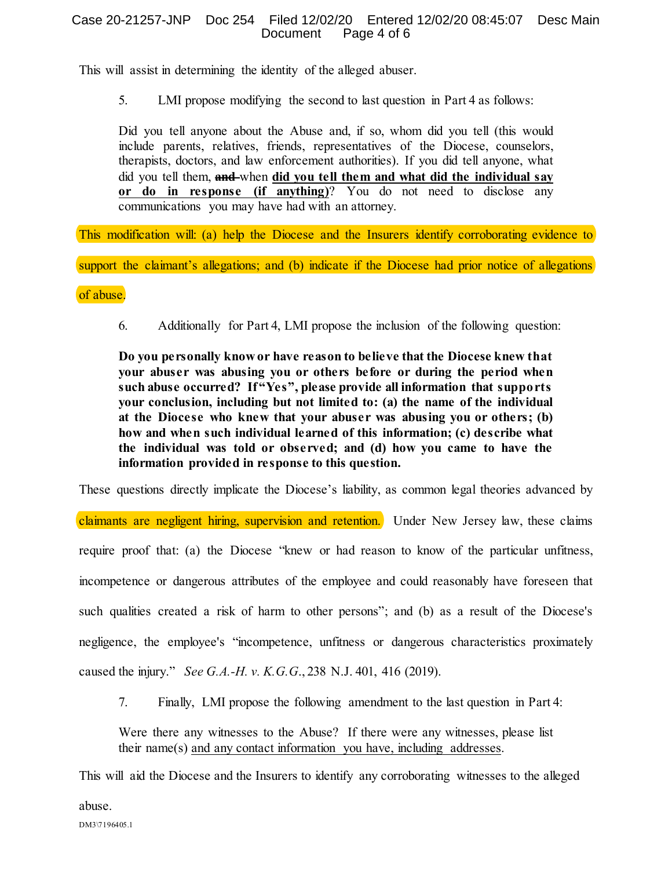#### Case 20-21257-JNP Doc 254 Filed 12/02/20 Entered 12/02/20 08:45:07 Desc Main Document Page 4 of 6

This will assist in determining the identity of the alleged abuser.

5. LMI propose modifying the second to last question in Part 4 as follows:

Did you tell anyone about the Abuse and, if so, whom did you tell (this would include parents, relatives, friends, representatives of the Diocese, counselors, therapists, doctors, and law enforcement authorities). If you did tell anyone, what did you tell them, **and** when **did you tell them and what did the individual say or do in response (if anything)**? You do not need to disclose any communications you may have had with an attorney.

This modification will: (a) help the Diocese and the Insurers identify corroborating evidence to

support the claimant's allegations; and (b) indicate if the Diocese had prior notice of allegations

of abuse.

6. Additionally for Part 4, LMI propose the inclusion of the following question:

**Do you personally know or have reason to believe that the Diocese knew that your abuser was abusing you or others before or during the period when such abuse occurred? If "Yes", please provide all information that supports your conclusion, including but not limited to: (a) the name of the individual at the Diocese who knew that your abuser was abusing you or others; (b) how and when such individual learned of this information; (c) describe what the individual was told or observed; and (d) how you came to have the information provided in response to this question.** 

These questions directly implicate the Diocese's liability, as common legal theories advanced by

claimants are negligent hiring, supervision and retention. Under New Jersey law, these claims require proof that: (a) the Diocese "knew or had reason to know of the particular unfitness, incompetence or dangerous attributes of the employee and could reasonably have foreseen that such qualities created a risk of harm to other persons"; and (b) as a result of the Diocese's negligence, the employee's "incompetence, unfitness or dangerous characteristics proximately caused the injury." *See G.A.-H. v. K.G.G*., 238 N.J. 401, 416 (2019).

7. Finally, LMI propose the following amendment to the last question in Part 4:

Were there any witnesses to the Abuse? If there were any witnesses, please list their name(s) and any contact information you have, including addresses.

This will aid the Diocese and the Insurers to identify any corroborating witnesses to the alleged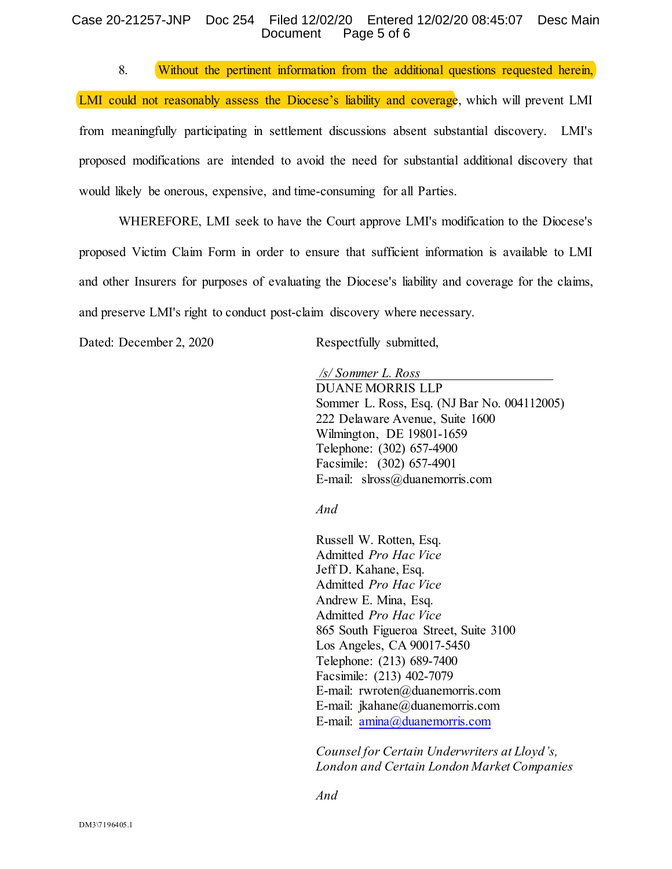#### Case 20-21257-JNP Doc 254 Filed 12/02/20 Entered 12/02/20 08:45:07 Desc Main Document Page 5 of 6

8. Without the pertinent information from the additional questions requested herein,

LMI could not reasonably assess the Diocese's liability and coverage, which will prevent LMI from meaningfully participating in settlement discussions absent substantial discovery. LMI's proposed modifications are intended to avoid the need for substantial additional discovery that would likely be onerous, expensive, and time-consuming for all Parties.

WHEREFORE, LMI seek to have the Court approve LMI's modification to the Diocese's proposed Victim Claim Form in order to ensure that sufficient information is available to LMI and other Insurers for purposes of evaluating the Diocese's liability and coverage for the claims, and preserve LMI's right to conduct post-claim discovery where necessary.

Dated: December 2, 2020 Respectfully submitted,

*/s/ Sommer L. Ross* DUANE MORRIS LLP Sommer L. Ross, Esq. (NJ Bar No. 004112005) 222 Delaware Avenue, Suite 1600 Wilmington, DE 19801-1659 Telephone: (302) 657-4900 Facsimile: (302) 657-4901 E-mail: slross@duanemorris.com

*And*

Russell W. Rotten, Esq. Admitted *Pro Hac Vice* Jeff D. Kahane, Esq. Admitted *Pro Hac Vice* Andrew E. Mina, Esq. Admitted *Pro Hac Vice* 865 South Figueroa Street, Suite 3100 Los Angeles, CA 90017-5450 Telephone: (213) 689-7400 Facsimile: (213) 402-7079 E-mail: rwroten@duanemorris.com E-mail: jkahane@duanemorris.com E-mail: [amina@duanemorris.com](mailto:amina@duanemorris.com)

*Counsel for Certain Underwriters at Lloyd's, London and Certain London Market Companies*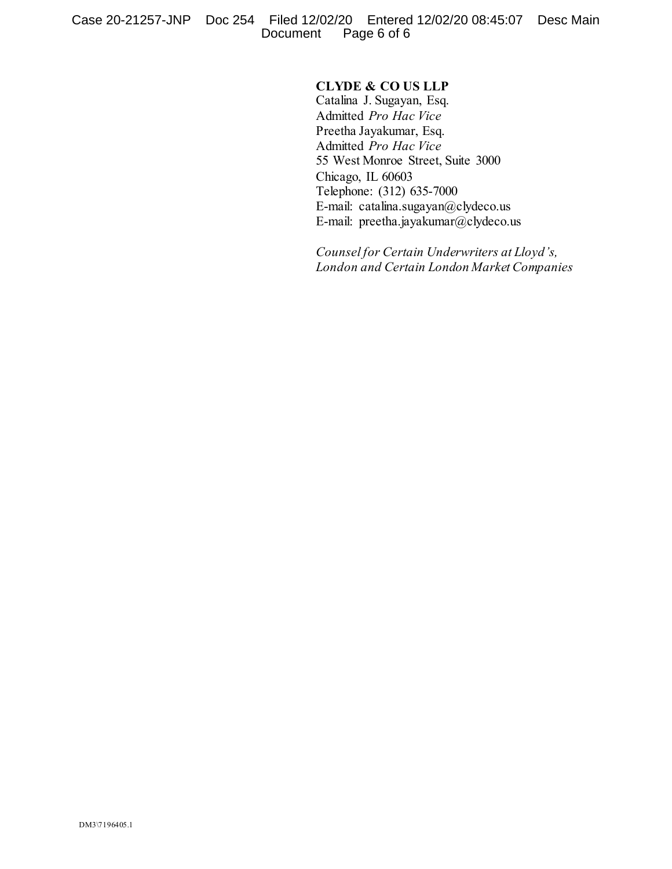# **CLYDE & CO US LLP**

Catalina J. Sugayan, Esq. Admitted *Pro Hac Vice* Preetha Jayakumar, Esq. Admitted *Pro Hac Vice* 55 West Monroe Street, Suite 3000 Chicago, IL 60603 Telephone: (312) 635-7000 E-mail: catalina.sugayan@clydeco.us E-mail: preetha.jayakumar@clydeco.us

*Counsel for Certain Underwriters at Lloyd's, London and Certain London Market Companies*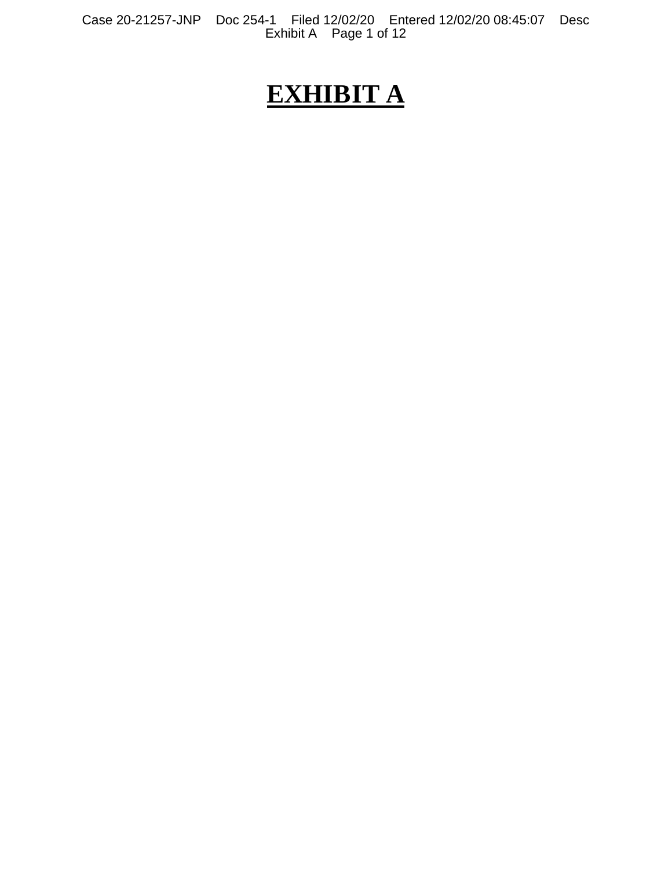Case 20-21257-JNP Doc 254-1 Filed 12/02/20 Entered 12/02/20 08:45:07 Desc Exhibit A Page 1 of 12

# **EXHIBIT A**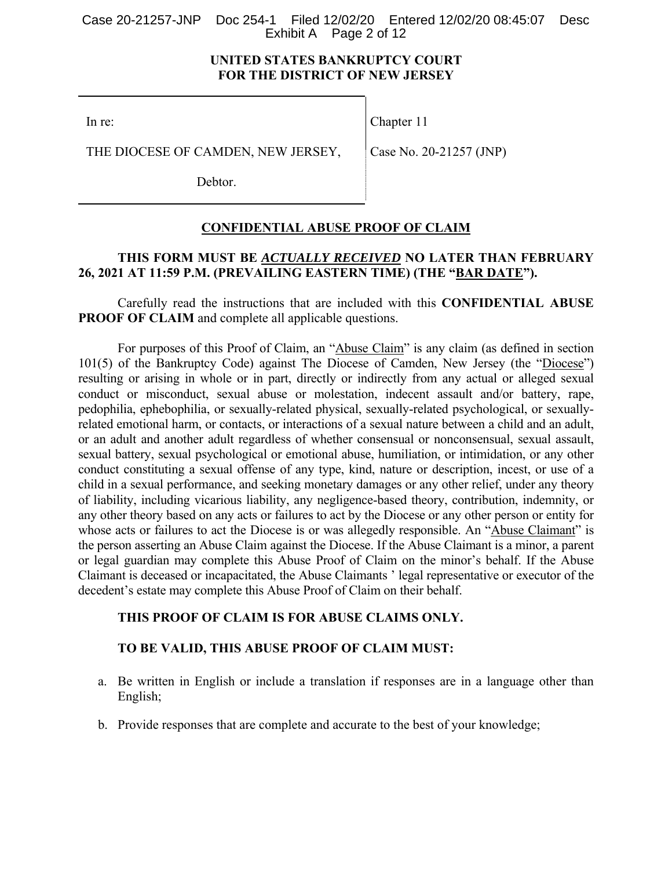#### Case 20-21257-JNP Doc 254-1 Filed 12/02/20 Entered 12/02/20 08:45:07 Desc Exhibit A Page 2 of 12

# **UNITED STATES BANKRUPTCY COURT FOR THE DISTRICT OF NEW JERSEY**

In re:

Chapter 11

THE DIOCESE OF CAMDEN, NEW JERSEY,

Case No. 20-21257 (JNP)

Debtor.

# **CONFIDENTIAL ABUSE PROOF OF CLAIM**

# **THIS FORM MUST BE** *ACTUALLY RECEIVED* **NO LATER THAN FEBRUARY 26, 2021 AT 11:59 P.M. (PREVAILING EASTERN TIME) (THE "BAR DATE").**

Carefully read the instructions that are included with this **CONFIDENTIAL ABUSE PROOF OF CLAIM** and complete all applicable questions.

For purposes of this Proof of Claim, an "Abuse Claim" is any claim (as defined in section 101(5) of the Bankruptcy Code) against The Diocese of Camden, New Jersey (the "Diocese") resulting or arising in whole or in part, directly or indirectly from any actual or alleged sexual conduct or misconduct, sexual abuse or molestation, indecent assault and/or battery, rape, pedophilia, ephebophilia, or sexually-related physical, sexually-related psychological, or sexuallyrelated emotional harm, or contacts, or interactions of a sexual nature between a child and an adult, or an adult and another adult regardless of whether consensual or nonconsensual, sexual assault, sexual battery, sexual psychological or emotional abuse, humiliation, or intimidation, or any other conduct constituting a sexual offense of any type, kind, nature or description, incest, or use of a child in a sexual performance, and seeking monetary damages or any other relief, under any theory of liability, including vicarious liability, any negligence-based theory, contribution, indemnity, or any other theory based on any acts or failures to act by the Diocese or any other person or entity for whose acts or failures to act the Diocese is or was allegedly responsible. An "Abuse Claimant" is the person asserting an Abuse Claim against the Diocese. If the Abuse Claimant is a minor, a parent or legal guardian may complete this Abuse Proof of Claim on the minor's behalf. If the Abuse Claimant is deceased or incapacitated, the Abuse Claimants ' legal representative or executor of the decedent's estate may complete this Abuse Proof of Claim on their behalf.

# **THIS PROOF OF CLAIM IS FOR ABUSE CLAIMS ONLY.**

# **TO BE VALID, THIS ABUSE PROOF OF CLAIM MUST:**

- a. Be written in English or include a translation if responses are in a language other than English;
- b. Provide responses that are complete and accurate to the best of your knowledge;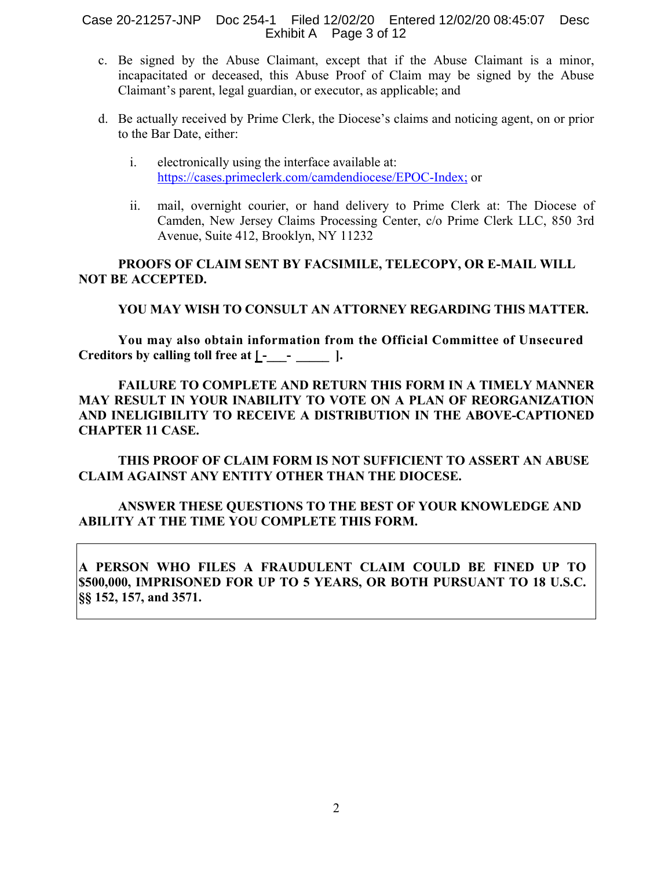Case 20-21257-JNP Doc 254-1 Filed 12/02/20 Entered 12/02/20 08:45:07 Desc Exhibit A Page 3 of 12

- c. Be signed by the Abuse Claimant, except that if the Abuse Claimant is a minor, incapacitated or deceased, this Abuse Proof of Claim may be signed by the Abuse Claimant's parent, legal guardian, or executor, as applicable; and
- d. Be actually received by Prime Clerk, the Diocese's claims and noticing agent, on or prior to the Bar Date, either:
	- i. electronically using the interface available at: https://cases.primeclerk.com/camdendiocese/EPOC-Index; or
	- ii. mail, overnight courier, or hand delivery to Prime Clerk at: The Diocese of Camden, New Jersey Claims Processing Center, c/o Prime Clerk LLC, 850 3rd Avenue, Suite 412, Brooklyn, NY 11232

**PROOFS OF CLAIM SENT BY FACSIMILE, TELECOPY, OR E-MAIL WILL NOT BE ACCEPTED.** 

# **YOU MAY WISH TO CONSULT AN ATTORNEY REGARDING THIS MATTER.**

**You may also obtain information from the Official Committee of Unsecured**  Creditors by calling toll free at  $\underline{L}$ - $\underline{\phantom{L}}$   $\cdots$  ].

**FAILURE TO COMPLETE AND RETURN THIS FORM IN A TIMELY MANNER MAY RESULT IN YOUR INABILITY TO VOTE ON A PLAN OF REORGANIZATION AND INELIGIBILITY TO RECEIVE A DISTRIBUTION IN THE ABOVE-CAPTIONED CHAPTER 11 CASE.** 

**THIS PROOF OF CLAIM FORM IS NOT SUFFICIENT TO ASSERT AN ABUSE CLAIM AGAINST ANY ENTITY OTHER THAN THE DIOCESE.** 

# **ANSWER THESE QUESTIONS TO THE BEST OF YOUR KNOWLEDGE AND ABILITY AT THE TIME YOU COMPLETE THIS FORM.**

**A PERSON WHO FILES A FRAUDULENT CLAIM COULD BE FINED UP TO \$500,000, IMPRISONED FOR UP TO 5 YEARS, OR BOTH PURSUANT TO 18 U.S.C. §§ 152, 157, and 3571.**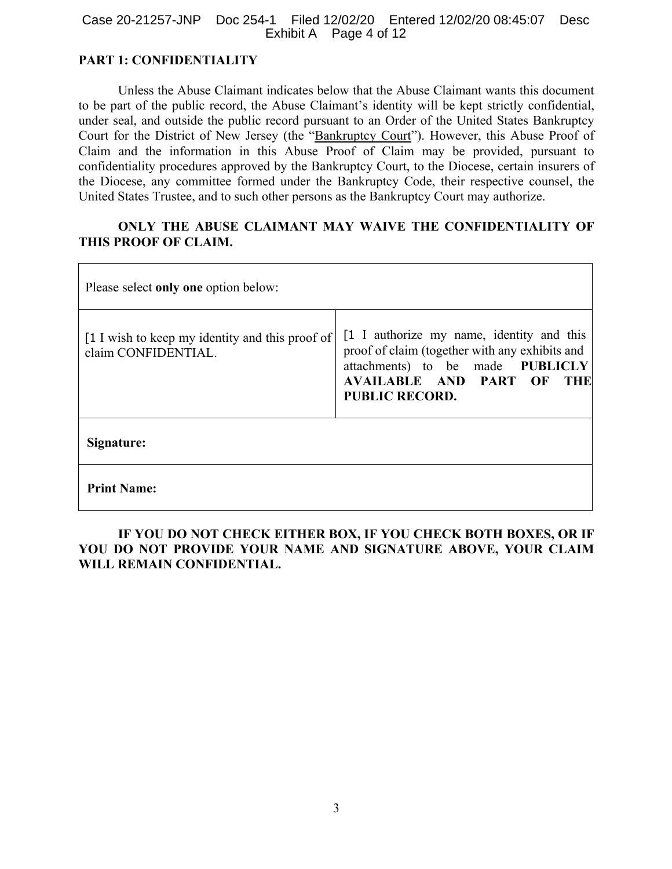#### Case 20-21257-JNP Doc 254-1 Filed 12/02/20 Entered 12/02/20 08:45:07 Desc Exhibit A Page 4 of 12

# **PART 1: CONFIDENTIALITY**

Unless the Abuse Claimant indicates below that the Abuse Claimant wants this document to be part of the public record, the Abuse Claimant's identity will be kept strictly confidential, under seal, and outside the public record pursuant to an Order of the United States Bankruptcy Court for the District of New Jersey (the "Bankruptcy Court"). However, this Abuse Proof of Claim and the information in this Abuse Proof of Claim may be provided, pursuant to confidentiality procedures approved by the Bankruptcy Court, to the Diocese, certain insurers of the Diocese, any committee formed under the Bankruptcy Code, their respective counsel, the United States Trustee, and to such other persons as the Bankruptcy Court may authorize.

# **ONLY THE ABUSE CLAIMANT MAY WAIVE THE CONFIDENTIALITY OF THIS PROOF OF CLAIM.**

| Please select only one option below:                                   |                                                                                                                                                                                                        |  |  |  |  |
|------------------------------------------------------------------------|--------------------------------------------------------------------------------------------------------------------------------------------------------------------------------------------------------|--|--|--|--|
| [1 I wish to keep my identity and this proof of<br>claim CONFIDENTIAL. | [1 I authorize my name, identity and this<br>proof of claim (together with any exhibits and<br>attachments) to be made PUBLICLY<br><b>AVAILABLE AND PART OF</b><br><b>THE</b><br><b>PUBLIC RECORD.</b> |  |  |  |  |
| Signature:                                                             |                                                                                                                                                                                                        |  |  |  |  |
| <b>Print Name:</b>                                                     |                                                                                                                                                                                                        |  |  |  |  |

# **IF YOU DO NOT CHECK EITHER BOX, IF YOU CHECK BOTH BOXES, OR IF YOU DO NOT PROVIDE YOUR NAME AND SIGNATURE ABOVE, YOUR CLAIM WILL REMAIN CONFIDENTIAL.**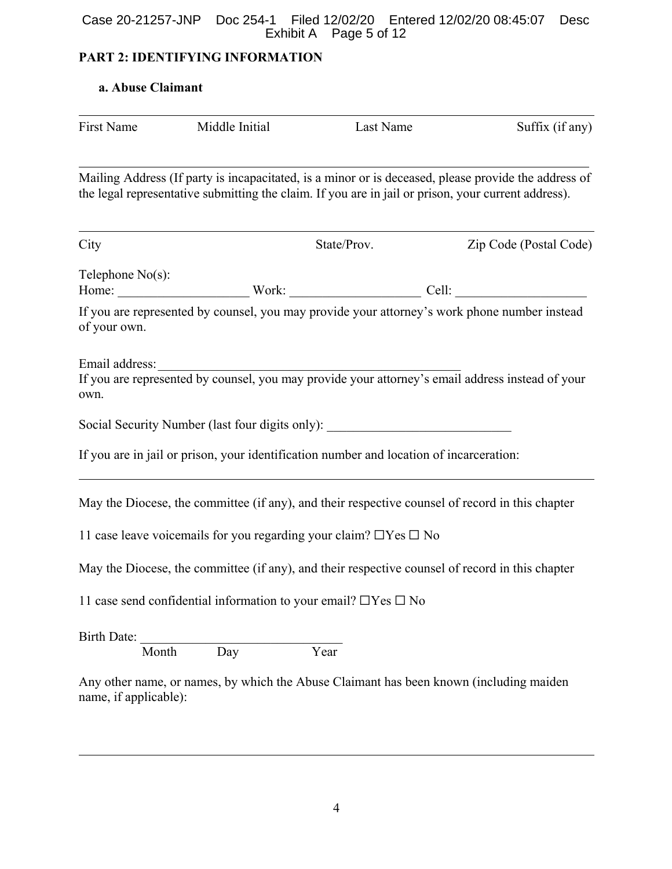#### Case 20-21257-JNP Doc 254-1 Filed 12/02/20 Entered 12/02/20 08:45:07 Desc Exhibit A Page 5 of 12

# **PART 2: IDENTIFYING INFORMATION**

# **a. Abuse Claimant**

| First Name             | Middle Initial | Last Name                                                                                           | Suffix (if any)                                                                                                    |
|------------------------|----------------|-----------------------------------------------------------------------------------------------------|--------------------------------------------------------------------------------------------------------------------|
|                        |                | the legal representative submitting the claim. If you are in jail or prison, your current address). | Mailing Address (If party is incapacitated, is a minor or is deceased, please provide the address of               |
| City                   |                | State/Prov.                                                                                         | Zip Code (Postal Code)                                                                                             |
| Telephone $No(s)$ :    |                |                                                                                                     |                                                                                                                    |
| of your own.           |                |                                                                                                     | If you are represented by counsel, you may provide your attorney's work phone number instead                       |
| Email address:<br>own. |                |                                                                                                     | Email address:<br>If you are represented by counsel, you may provide your attorney's email address instead of your |
|                        |                | Social Security Number (last four digits only): ________________________________                    |                                                                                                                    |
|                        |                | If you are in jail or prison, your identification number and location of incarceration:             |                                                                                                                    |
|                        |                |                                                                                                     | May the Diocese, the committee (if any), and their respective counsel of record in this chapter                    |
|                        |                | 11 case leave voicemails for you regarding your claim? $\Box$ Yes $\Box$ No                         |                                                                                                                    |
|                        |                |                                                                                                     | May the Diocese, the committee (if any), and their respective counsel of record in this chapter                    |
|                        |                | 11 case send confidential information to your email? $\Box$ Yes $\Box$ No                           |                                                                                                                    |
| Birth Date:            |                |                                                                                                     |                                                                                                                    |
| Month                  | Day            | Year                                                                                                |                                                                                                                    |

Any other name, or names, by which the Abuse Claimant has been known (including maiden name, if applicable):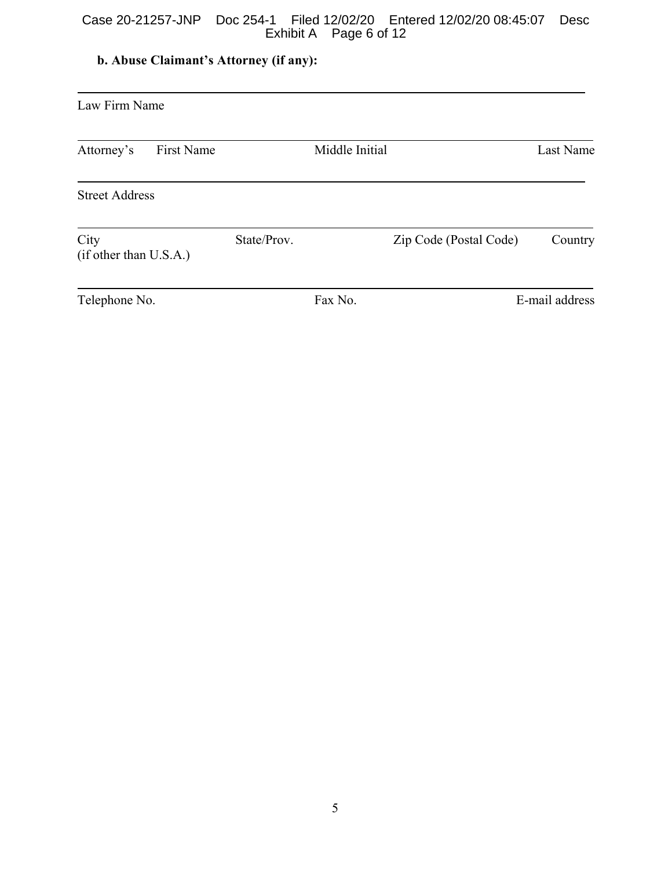### Case 20-21257-JNP Doc 254-1 Filed 12/02/20 Entered 12/02/20 08:45:07 Desc Exhibit A Page 6 of 12

# **b. Abuse Claimant's Attorney (if any):**

| Law Firm Name                  |            |             |                |                        |                |  |  |
|--------------------------------|------------|-------------|----------------|------------------------|----------------|--|--|
| Attorney's                     | First Name |             | Middle Initial |                        | Last Name      |  |  |
| <b>Street Address</b>          |            |             |                |                        |                |  |  |
| City<br>(if other than U.S.A.) |            | State/Prov. |                | Zip Code (Postal Code) | Country        |  |  |
| Telephone No.                  |            |             | Fax No.        |                        | E-mail address |  |  |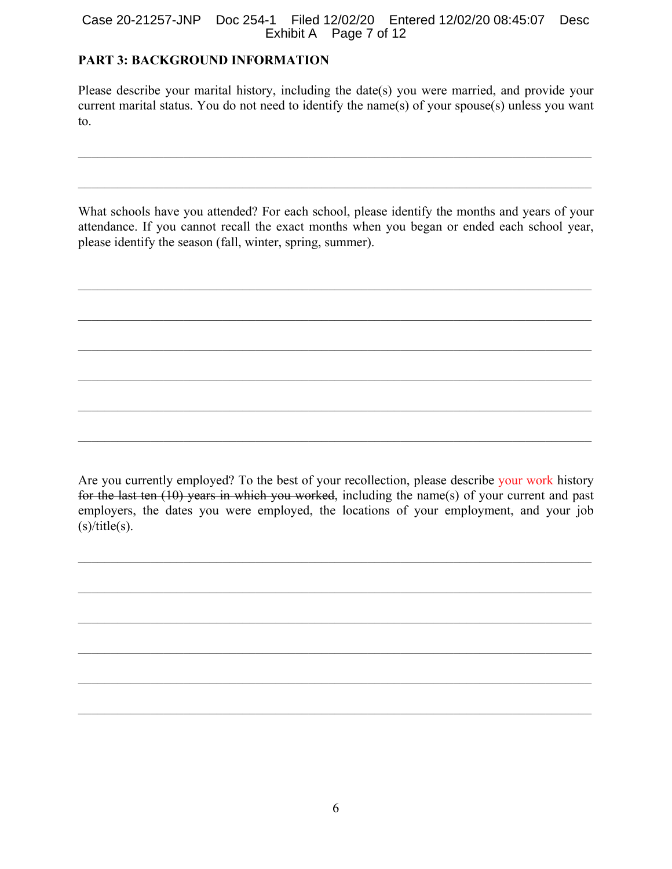### Case 20-21257-JNP Doc 254-1 Filed 12/02/20 Entered 12/02/20 08:45:07 Desc Exhibit A Page 7 of 12

# **PART 3: BACKGROUND INFORMATION**

Please describe your marital history, including the date(s) you were married, and provide your current marital status. You do not need to identify the name(s) of your spouse(s) unless you want to.

What schools have you attended? For each school, please identify the months and years of your attendance. If you cannot recall the exact months when you began or ended each school year, please identify the season (fall, winter, spring, summer).

Are you currently employed? To the best of your recollection, please describe your work history for the last ten (10) years in which you worked, including the name(s) of your current and past employers, the dates you were employed, the locations of your employment, and your job  $(s)/title(s).$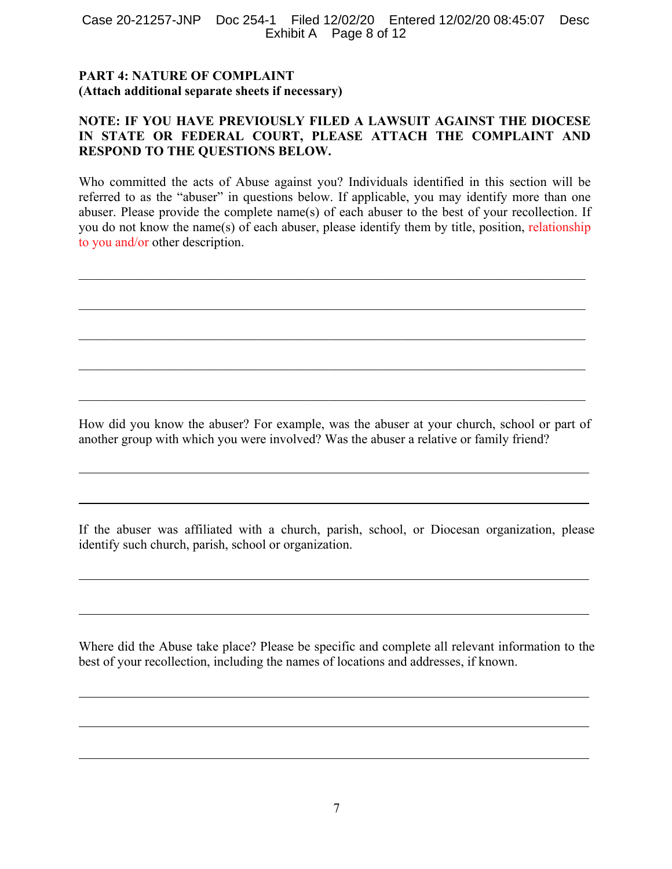#### Case 20-21257-JNP Doc 254-1 Filed 12/02/20 Entered 12/02/20 08:45:07 Desc Exhibit A Page 8 of 12

# **PART 4: NATURE OF COMPLAINT (Attach additional separate sheets if necessary)**

# **NOTE: IF YOU HAVE PREVIOUSLY FILED A LAWSUIT AGAINST THE DIOCESE IN STATE OR FEDERAL COURT, PLEASE ATTACH THE COMPLAINT AND RESPOND TO THE QUESTIONS BELOW.**

Who committed the acts of Abuse against you? Individuals identified in this section will be referred to as the "abuser" in questions below. If applicable, you may identify more than one abuser. Please provide the complete name(s) of each abuser to the best of your recollection. If you do not know the name(s) of each abuser, please identify them by title, position, relationship to you and/or other description.

 $\mathcal{L}_\mathcal{L} = \mathcal{L}_\mathcal{L} = \mathcal{L}_\mathcal{L} = \mathcal{L}_\mathcal{L} = \mathcal{L}_\mathcal{L} = \mathcal{L}_\mathcal{L} = \mathcal{L}_\mathcal{L} = \mathcal{L}_\mathcal{L} = \mathcal{L}_\mathcal{L} = \mathcal{L}_\mathcal{L} = \mathcal{L}_\mathcal{L} = \mathcal{L}_\mathcal{L} = \mathcal{L}_\mathcal{L} = \mathcal{L}_\mathcal{L} = \mathcal{L}_\mathcal{L} = \mathcal{L}_\mathcal{L} = \mathcal{L}_\mathcal{L}$ 

How did you know the abuser? For example, was the abuser at your church, school or part of another group with which you were involved? Was the abuser a relative or family friend?

If the abuser was affiliated with a church, parish, school, or Diocesan organization, please identify such church, parish, school or organization.

Where did the Abuse take place? Please be specific and complete all relevant information to the best of your recollection, including the names of locations and addresses, if known.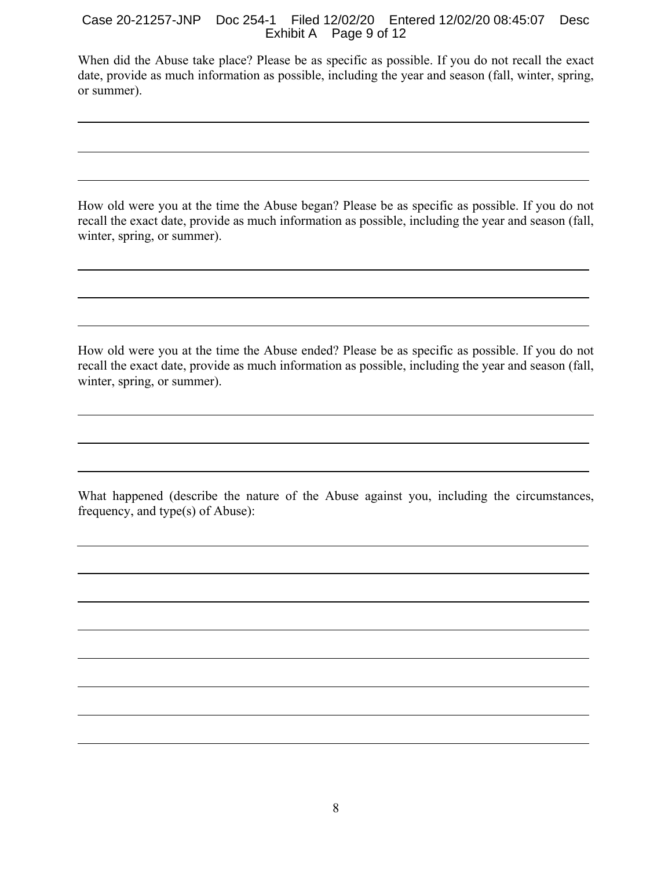# Case 20-21257-JNP Doc 254-1 Filed 12/02/20 Entered 12/02/20 08:45:07 Desc Exhibit A Page 9 of 12

When did the Abuse take place? Please be as specific as possible. If you do not recall the exact date, provide as much information as possible, including the year and season (fall, winter, spring, or summer).

How old were you at the time the Abuse began? Please be as specific as possible. If you do not recall the exact date, provide as much information as possible, including the year and season (fall, winter, spring, or summer).

How old were you at the time the Abuse ended? Please be as specific as possible. If you do not recall the exact date, provide as much information as possible, including the year and season (fall, winter, spring, or summer).

What happened (describe the nature of the Abuse against you, including the circumstances, frequency, and type(s) of Abuse):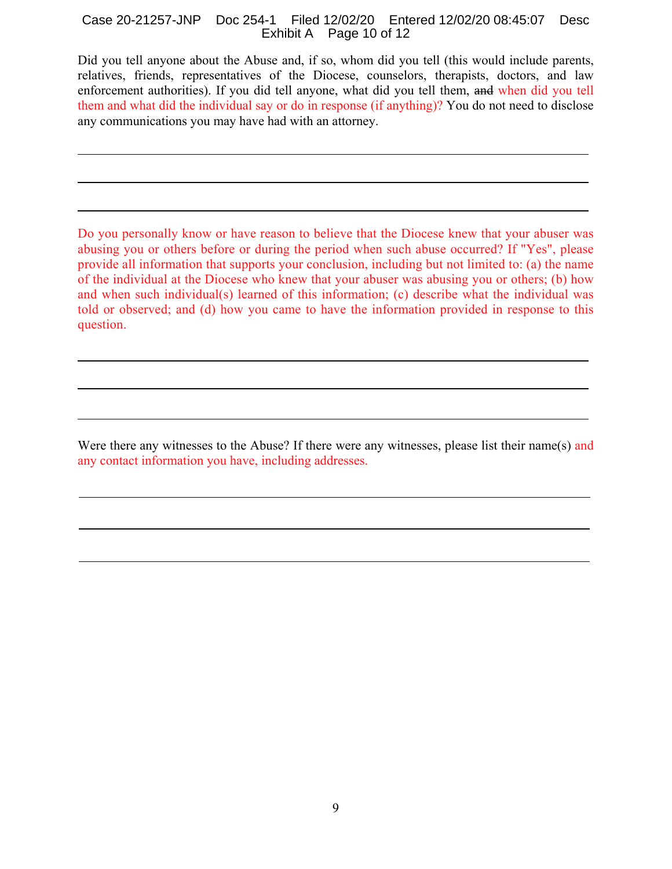#### Case 20-21257-JNP Doc 254-1 Filed 12/02/20 Entered 12/02/20 08:45:07 Desc Exhibit A Page 10 of 12

Did you tell anyone about the Abuse and, if so, whom did you tell (this would include parents, relatives, friends, representatives of the Diocese, counselors, therapists, doctors, and law enforcement authorities). If you did tell anyone, what did you tell them, and when did you tell them and what did the individual say or do in response (if anything)? You do not need to disclose any communications you may have had with an attorney.

Do you personally know or have reason to believe that the Diocese knew that your abuser was abusing you or others before or during the period when such abuse occurred? If "Yes", please provide all information that supports your conclusion, including but not limited to: (a) the name of the individual at the Diocese who knew that your abuser was abusing you or others; (b) how and when such individual(s) learned of this information; (c) describe what the individual was told or observed; and (d) how you came to have the information provided in response to this question.

Were there any witnesses to the Abuse? If there were any witnesses, please list their name(s) and any contact information you have, including addresses.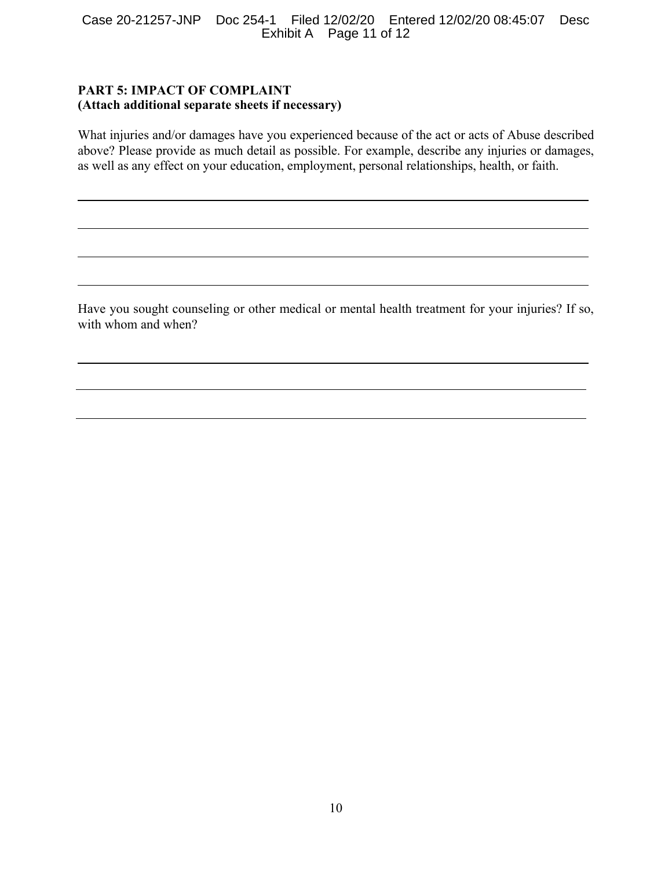#### Case 20-21257-JNP Doc 254-1 Filed 12/02/20 Entered 12/02/20 08:45:07 Desc Exhibit A Page 11 of 12

# **PART 5: IMPACT OF COMPLAINT (Attach additional separate sheets if necessary)**

What injuries and/or damages have you experienced because of the act or acts of Abuse described above? Please provide as much detail as possible. For example, describe any injuries or damages, as well as any effect on your education, employment, personal relationships, health, or faith.

Have you sought counseling or other medical or mental health treatment for your injuries? If so, with whom and when?